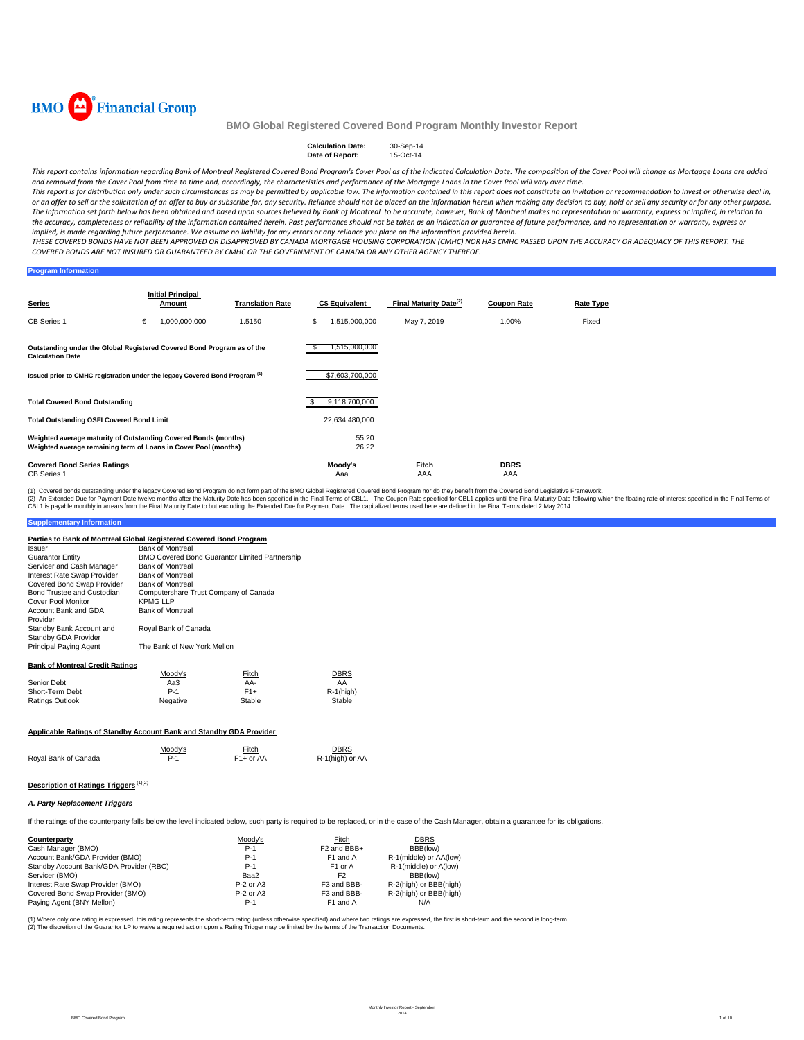

#### **Calculation Date:** 30-Sep-14<br>**Date of Report:** 15-Oct-14 **Date of Report:**

This report contains information regarding Bank of Montreal Registered Covered Bond Program's Cover Pool as of the indicated Calculation Date. The composition of the Cover Pool will change as Mortgage Loans are added and removed from the Cover Pool from time to time and, accordingly, the characteristics and performance of the Mortgage Loans in the Cover Pool will vary over time.

This report is for distribution only under such circumstances as may be permitted by applicable law. The information contained in this report does not constitute an invitation or recommendation to invest or otherwise deal or an offer to sell or the solicitation of an offer to buy or subscribe for, any security. Reliance should not be placed on the information herein when making any decision to buy, hold or sell any security or for any other The information set forth below has been obtained and based upon sources believed by Bank of Montreal to be accurate, however, Bank of Montreal makes no representation or warranty, express or implied, in relation to the accuracy, completeness or reliability of the information contained herein. Past performance should not be taken as an indication or guarantee of future performance, and no representation or warranty, express or implied, is made regarding future performance. We assume no liability for any errors or any reliance you place on the information provided herein.

THESE COVERED BONDS HAVE NOT BEEN APPROVED OR DISAPPROVED BY CANADA MORTGAGE HOUSING CORPORATION (CMHC) NOR HAS CMHC PASSED UPON THE ACCURACY OR ADEQUACY OF THIS REPORT. THE COVERED BONDS ARE NOT INSURED OR GUARANTEED BY CMHC OR THE GOVERNMENT OF CANADA OR ANY OTHER AGENCY THEREOF.

**Program Information**

| <b>Series</b>                                                                                                                      | <b>Initial Principal</b><br><b>Translation Rate</b><br>Amount |               |        | <b>C\$ Equivalent</b> | Final Maturity Date <sup>(2)</sup> | <b>Coupon Rate</b> | Rate Type          |       |
|------------------------------------------------------------------------------------------------------------------------------------|---------------------------------------------------------------|---------------|--------|-----------------------|------------------------------------|--------------------|--------------------|-------|
| <b>CB Series 1</b>                                                                                                                 | €                                                             | 1,000,000,000 | 1.5150 | S                     | 1,515,000,000                      | May 7, 2019        | 1.00%              | Fixed |
| Outstanding under the Global Registered Covered Bond Program as of the<br><b>Calculation Date</b>                                  |                                                               |               |        |                       | 1,515,000,000                      |                    |                    |       |
| Issued prior to CMHC registration under the legacy Covered Bond Program <sup>(1)</sup>                                             |                                                               |               |        |                       | \$7,603,700,000                    |                    |                    |       |
| <b>Total Covered Bond Outstanding</b>                                                                                              |                                                               |               |        |                       | 9,118,700,000                      |                    |                    |       |
| <b>Total Outstanding OSFI Covered Bond Limit</b>                                                                                   |                                                               |               |        |                       | 22,634,480,000                     |                    |                    |       |
| Weighted average maturity of Outstanding Covered Bonds (months)<br>Weighted average remaining term of Loans in Cover Pool (months) |                                                               |               |        |                       | 55.20<br>26.22                     |                    |                    |       |
| <b>Covered Bond Series Ratings</b><br><b>CB Series 1</b>                                                                           |                                                               |               |        |                       | Moody's<br>Aaa                     | Fitch<br>AAA       | <b>DBRS</b><br>AAA |       |

(2) An Extended Due for Payment Date twelve months after the Maturity Date has been specified in the Final Terms of CBL1. The Coupon Rate specified in the fluat has been the specified in the Final Terms of CBL1. The capita (1) Covered bonds outstanding under the legacy Covered Bond Program do not form part of the BMO Global Registered Covered Bond Program nor do they benefit from the Covered Bond Legislative Framework.

## **Supplementary Information**

| Parties to Bank of Montreal Global Registered Covered Bond Program |                                       |                                                       |              |
|--------------------------------------------------------------------|---------------------------------------|-------------------------------------------------------|--------------|
| Issuer                                                             | <b>Bank of Montreal</b>               |                                                       |              |
| <b>Guarantor Entity</b>                                            |                                       | <b>BMO Covered Bond Guarantor Limited Partnership</b> |              |
| Servicer and Cash Manager                                          | <b>Bank of Montreal</b>               |                                                       |              |
| Interest Rate Swap Provider                                        | <b>Bank of Montreal</b>               |                                                       |              |
| Covered Bond Swap Provider                                         | <b>Bank of Montreal</b>               |                                                       |              |
| Bond Trustee and Custodian                                         | Computershare Trust Company of Canada |                                                       |              |
| Cover Pool Monitor                                                 | <b>KPMG LLP</b>                       |                                                       |              |
| Account Bank and GDA                                               | <b>Bank of Montreal</b>               |                                                       |              |
| Provider                                                           |                                       |                                                       |              |
| Standby Bank Account and                                           | Royal Bank of Canada                  |                                                       |              |
| Standby GDA Provider                                               |                                       |                                                       |              |
| <b>Principal Paying Agent</b>                                      | The Bank of New York Mellon           |                                                       |              |
|                                                                    |                                       |                                                       |              |
| <b>Bank of Montreal Credit Ratings</b>                             |                                       |                                                       |              |
|                                                                    | Moody's                               | Fitch                                                 | DBRS         |
| Senior Debt                                                        | Aa3                                   | AA-                                                   | AA           |
| Short-Term Debt                                                    | $P-1$                                 | $F1+$                                                 | $R-1$ (high) |
| Ratings Outlook                                                    | Negative                              | Stable                                                | Stable       |
|                                                                    |                                       |                                                       |              |

### **Applicable Ratings of Standby Account Bank and Standby GDA Provider**

|                      | Moodv's | Fitch     | <b>DBRS</b>     |
|----------------------|---------|-----------|-----------------|
| Royal Bank of Canada | P-1     | F1+ or AA | R-1(high) or AA |

## **Description of Ratings Triggers** (1)(2)

### *A. Party Replacement Triggers*

If the ratings of the counterparty falls below the level indicated below, such party is required to be replaced, or in the case of the Cash Manager, obtain a guarantee for its obligations.

| Counterparty                            | Moody's     | Fitch                   | <b>DBRS</b>            |
|-----------------------------------------|-------------|-------------------------|------------------------|
| Cash Manager (BMO)                      | $P-1$       | F <sub>2</sub> and BBB+ | BBB(low)               |
| Account Bank/GDA Provider (BMO)         | $P-1$       | F1 and A                | R-1(middle) or AA(low) |
| Standby Account Bank/GDA Provider (RBC) | $P-1$       | F <sub>1</sub> or A     | R-1(middle) or A(low)  |
| Servicer (BMO)                          | Baa2        | F <sub>2</sub>          | BBB(low)               |
| Interest Rate Swap Provider (BMO)       | $P-2$ or A3 | F3 and BBB-             | R-2(high) or BBB(high) |
| Covered Bond Swap Provider (BMO)        | $P-2$ or A3 | F3 and BBB-             | R-2(high) or BBB(high) |
| Paying Agent (BNY Mellon)               | $P-1$       | F1 and A                | N/A                    |

(1) Where only one rating is expressed, this rating represents the short-term rating (unless otherwise specified) and where two ratings are expressed, the first is short-term and the second is long-term. (2) The discretion of the Guarantor LP to waive a required action upon a Rating Trigger may be limited by the terms of the Transaction Documents.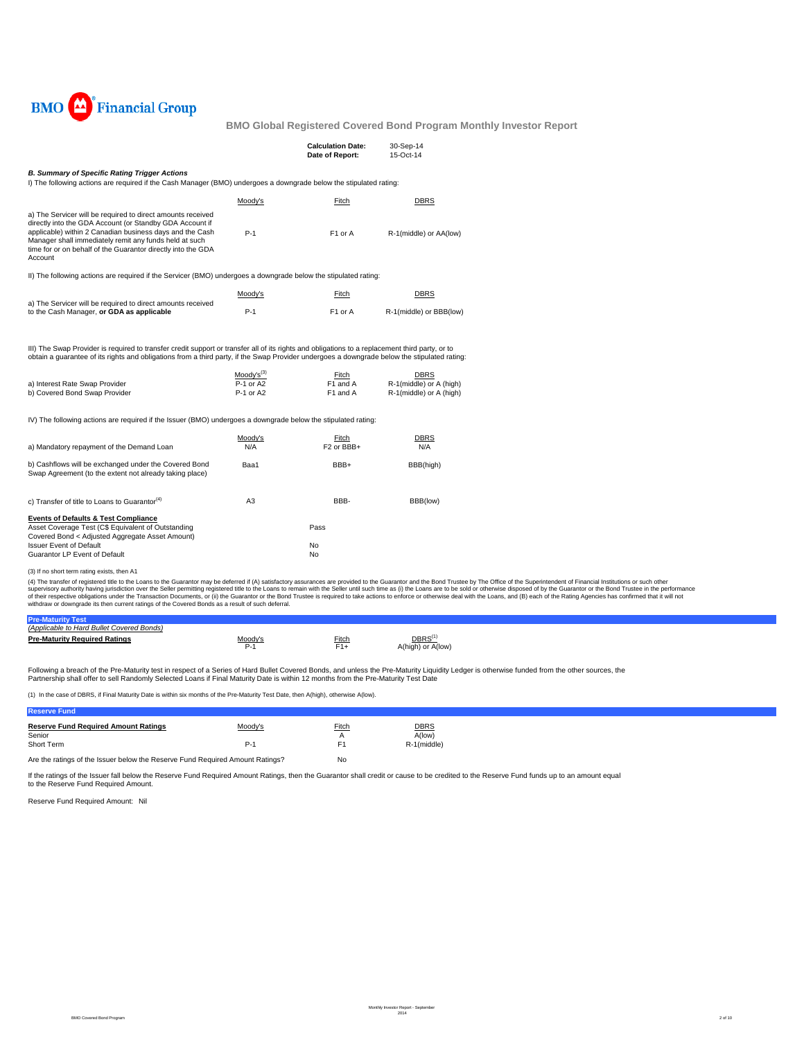

|                                                                                                                                                                                                                                                                                                                          |                               | <b>Calculation Date:</b><br>Date of Report: | 30-Sep-14<br>15-Oct-14                 |
|--------------------------------------------------------------------------------------------------------------------------------------------------------------------------------------------------------------------------------------------------------------------------------------------------------------------------|-------------------------------|---------------------------------------------|----------------------------------------|
| <b>B. Summary of Specific Rating Trigger Actions</b><br>I) The following actions are required if the Cash Manager (BMO) undergoes a downgrade below the stipulated rating:                                                                                                                                               |                               |                                             |                                        |
|                                                                                                                                                                                                                                                                                                                          | Moody's                       | Fitch                                       | <b>DBRS</b>                            |
| a) The Servicer will be required to direct amounts received<br>directly into the GDA Account (or Standby GDA Account if<br>applicable) within 2 Canadian business days and the Cash<br>Manager shall immediately remit any funds held at such<br>time for or on behalf of the Guarantor directly into the GDA<br>Account | $P-1$                         | F1 or A                                     | R-1(middle) or AA(low)                 |
| II) The following actions are required if the Servicer (BMO) undergoes a downgrade below the stipulated rating:                                                                                                                                                                                                          |                               |                                             |                                        |
|                                                                                                                                                                                                                                                                                                                          | Moody's                       | Fitch                                       | <b>DBRS</b>                            |
| a) The Servicer will be required to direct amounts received<br>to the Cash Manager, or GDA as applicable                                                                                                                                                                                                                 | $P-1$                         | F <sub>1</sub> or A                         | R-1(middle) or BBB(low)                |
| III) The Swap Provider is required to transfer credit support or transfer all of its rights and obligations to a replacement third party, or to<br>obtain a quarantee of its rights and obligations from a third party, if the Swap Provider undergoes a downgrade below the stipulated rating:                          |                               |                                             |                                        |
| a) Interest Rate Swap Provider                                                                                                                                                                                                                                                                                           | $Modv's^{(3)}$<br>$P-1$ or A2 | Fitch<br>F1 and A                           | <b>DBRS</b><br>R-1(middle) or A (high) |
| b) Covered Bond Swap Provider                                                                                                                                                                                                                                                                                            | P-1 or A2                     | F1 and A                                    | R-1(middle) or A (high)                |
| IV) The following actions are required if the Issuer (BMO) undergoes a downgrade below the stipulated rating:                                                                                                                                                                                                            |                               |                                             |                                        |
| a) Mandatory repayment of the Demand Loan                                                                                                                                                                                                                                                                                | Moody's<br>N/A                | Fitch<br>F <sub>2</sub> or BB <sub>+</sub>  | <b>DBRS</b><br>N/A                     |
| b) Cashflows will be exchanged under the Covered Bond<br>Swap Agreement (to the extent not already taking place)                                                                                                                                                                                                         | Baa1                          | BBB+                                        | BBB(high)                              |
| c) Transfer of title to Loans to Guarantor <sup>(4)</sup>                                                                                                                                                                                                                                                                | A3                            | BBB-                                        | BBB(low)                               |
| <b>Events of Defaults &amp; Test Compliance</b><br>Asset Coverage Test (C\$ Equivalent of Outstanding                                                                                                                                                                                                                    |                               | Pass                                        |                                        |
| Covered Bond < Adjusted Aggregate Asset Amount)<br><b>Issuer Event of Default</b>                                                                                                                                                                                                                                        |                               | No                                          |                                        |
| Guarantor LP Event of Default                                                                                                                                                                                                                                                                                            |                               | No                                          |                                        |

(3) If no short term rating exists, then A1

(4) The transfer of registered title to the Loans to the Guarantor may be deferred if (A) satisfactory assurances are provided to the Guarantor and the Bond Trustee by The Office of the Superintendent of Financial Institut

| (Applicable to Hard Bullet Covered Bonds) |       |                                        |  |
|-------------------------------------------|-------|----------------------------------------|--|
| <b>Pre-Maturity Required Ratings</b>      | Fitch | $\mathsf{DBRS}^0$<br>A(high) or A(low) |  |
|                                           |       |                                        |  |

Following a breach of the Pre-Maturity test in respect of a Series of Hard Bullet Covered Bonds, and unless the Pre-Maturity Liquidity Ledger is otherwise funded from the other sources, the Partnership shall offer to sell Randomly Selected Loans if Final Maturity Date is within 12 months from the Pre-Maturity Test Date

(1) In the case of DBRS, if Final Maturity Date is within six months of the Pre-Maturity Test Date, then A(high), otherwise A(low).

| <b>leserve Fund</b>                         |         |       |             |
|---------------------------------------------|---------|-------|-------------|
| <b>Reserve Fund Required Amount Ratings</b> | Moodv's | Fitch | <b>DBRS</b> |
| Senior<br>Short Term                        |         |       | A(low)      |
|                                             | $P-1$   | E.    | R-1(middle) |
|                                             |         |       |             |

Are the ratings of the Issuer below the Reserve Fund Required Amount Ratings? No

If the ratings of the Issuer fall below the Reserve Fund Required Amount Ratings, then the Guarantor shall credit or cause to be credited to the Reserve Fund funds up to an amount equal to the Reserve Fund Required Amount.

Reserve Fund Required Amount: Nil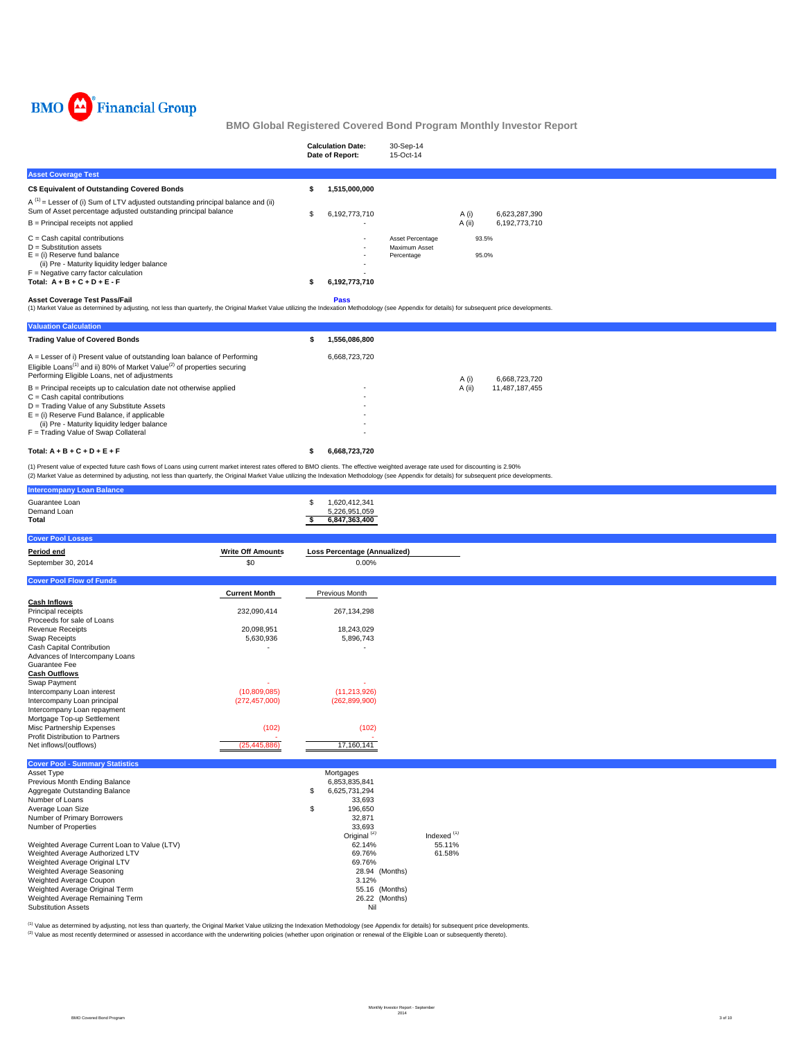

|                                                                                                                                                        | <b>Calculation Date:</b><br>Date of Report: | 30-Sep-14<br>15-Oct-14                          |                |               |  |
|--------------------------------------------------------------------------------------------------------------------------------------------------------|---------------------------------------------|-------------------------------------------------|----------------|---------------|--|
| <b>Asset Coverage Test</b>                                                                                                                             |                                             |                                                 |                |               |  |
| C\$ Equivalent of Outstanding Covered Bonds                                                                                                            | 1,515,000,000                               |                                                 |                |               |  |
| $A^{(1)}$ = Lesser of (i) Sum of LTV adjusted outstanding principal balance and (ii)<br>Sum of Asset percentage adjusted outstanding principal balance | 6,192,773,710                               |                                                 | A (i)          | 6,623,287,390 |  |
| B = Principal receipts not applied                                                                                                                     |                                             |                                                 | A (ii)         | 6,192,773,710 |  |
| $C = Cash$ capital contributions<br>$D =$ Substitution assets<br>$E =$ (i) Reserve fund balance                                                        |                                             | Asset Percentage<br>Maximum Asset<br>Percentage | 93.5%<br>95.0% |               |  |
| (ii) Pre - Maturity liquidity ledger balance<br>$F =$ Negative carry factor calculation                                                                | ٠.<br>                                      |                                                 |                |               |  |
| Total: $A + B + C + D + E - F$                                                                                                                         | 6,192,773,710                               |                                                 |                |               |  |
| <b>Asset Coverage Test Pass/Fail</b>                                                                                                                   | <b>Pass</b>                                 |                                                 |                |               |  |

Asset Coverage Test Pass/Fail<br>(1) Market Value as determined by adjusting, not less than quarterly, the Original Market Value utilizing the Indexation Methodology (see Appendix for details) for subsequent price development

| <b>Valuation Calculation</b>                                                                                                                                                                                                   |   |               |        |                |  |
|--------------------------------------------------------------------------------------------------------------------------------------------------------------------------------------------------------------------------------|---|---------------|--------|----------------|--|
| <b>Trading Value of Covered Bonds</b>                                                                                                                                                                                          | ъ | 1.556.086.800 |        |                |  |
| $A =$ Lesser of i) Present value of outstanding loan balance of Performing<br>Eligible Loans <sup>(1)</sup> and ii) 80% of Market Value <sup>(2)</sup> of properties securing<br>Performing Eligible Loans, net of adjustments |   | 6.668.723.720 | A (i)  | 6.668.723.720  |  |
| $B =$ Principal receipts up to calculation date not otherwise applied                                                                                                                                                          |   | ۰             | A (ii) | 11.487.187.455 |  |
| $C =$ Cash capital contributions                                                                                                                                                                                               |   |               |        |                |  |
| D = Trading Value of any Substitute Assets                                                                                                                                                                                     |   |               |        |                |  |
| $E =$ (i) Reserve Fund Balance, if applicable                                                                                                                                                                                  |   |               |        |                |  |
| (ii) Pre - Maturity liquidity ledger balance                                                                                                                                                                                   |   | ۰             |        |                |  |
| F = Trading Value of Swap Collateral                                                                                                                                                                                           |   | ۰             |        |                |  |
| Total: $A + B + C + D + E + F$                                                                                                                                                                                                 |   | 6.668.723.720 |        |                |  |

(1) Present value of expected future cash flows of Loans using current market interest rates offered to BMO clients. The effective weighted average rate used for discounting is 2.90%<br>(2) Market Value as determined by adjus

| <b>Intercompany Loan Balance</b>                          |                          |                                                             |                        |
|-----------------------------------------------------------|--------------------------|-------------------------------------------------------------|------------------------|
| Guarantee Loan<br>Demand Loan<br><b>Total</b>             |                          | \$<br>1,620,412,341<br>5,226,951,059<br>6,847,363,400<br>\$ |                        |
| <b>Cover Pool Losses</b>                                  |                          |                                                             |                        |
| Period end                                                | <b>Write Off Amounts</b> | <b>Loss Percentage (Annualized)</b>                         |                        |
| September 30, 2014                                        | \$0                      | 0.00%                                                       |                        |
|                                                           |                          |                                                             |                        |
| <b>Cover Pool Flow of Funds</b>                           |                          |                                                             |                        |
|                                                           | <b>Current Month</b>     | Previous Month                                              |                        |
| <b>Cash Inflows</b><br>Principal receipts                 | 232,090,414              | 267,134,298                                                 |                        |
| Proceeds for sale of Loans                                |                          |                                                             |                        |
| <b>Revenue Receipts</b>                                   | 20,098,951               | 18,243,029                                                  |                        |
| <b>Swap Receipts</b>                                      | 5,630,936                | 5,896,743                                                   |                        |
| Cash Capital Contribution                                 |                          |                                                             |                        |
| Advances of Intercompany Loans                            |                          |                                                             |                        |
| Guarantee Fee<br><b>Cash Outflows</b>                     |                          |                                                             |                        |
| Swap Payment                                              |                          |                                                             |                        |
| Intercompany Loan interest                                | (10,809,085)             | (11, 213, 926)                                              |                        |
| Intercompany Loan principal                               | (272, 457, 000)          | (262, 899, 900)                                             |                        |
| Intercompany Loan repayment                               |                          |                                                             |                        |
| Mortgage Top-up Settlement                                |                          |                                                             |                        |
| Misc Partnership Expenses                                 | (102)                    | (102)                                                       |                        |
| Profit Distribution to Partners<br>Net inflows/(outflows) | (25, 445, 886)           | 17,160,141                                                  |                        |
|                                                           |                          |                                                             |                        |
| <b>Cover Pool - Summary Statistics</b>                    |                          |                                                             |                        |
| Asset Type                                                |                          | Mortgages                                                   |                        |
| Previous Month Ending Balance                             |                          | 6,853,835,841                                               |                        |
| Aggregate Outstanding Balance                             |                          | \$<br>6,625,731,294                                         |                        |
| Number of Loans<br>Average Loan Size                      |                          | 33,693                                                      |                        |
| Number of Primary Borrowers                               |                          | \$<br>196,650<br>32,871                                     |                        |
| Number of Properties                                      |                          | 33,693                                                      |                        |
|                                                           |                          | Original <sup>(2)</sup>                                     | Indexed <sup>(1)</sup> |
| Weighted Average Current Loan to Value (LTV)              |                          | 62.14%                                                      | 55.11%                 |
| Weighted Average Authorized LTV                           |                          | 69.76%                                                      | 61.58%                 |
| Weighted Average Original LTV                             |                          | 69.76%                                                      |                        |
| Weighted Average Seasoning                                |                          | 28.94 (Months)                                              |                        |
| Weighted Average Coupon<br>Weighted Average Original Term |                          | 3.12%<br>55.16 (Months)                                     |                        |
| Weighted Average Remaining Term                           |                          | 26.22 (Months)                                              |                        |
| <b>Substitution Assets</b>                                |                          | Nil                                                         |                        |

<sup>(1)</sup> Value as determined by adjusting, not less than quarterly, the Original Market Value utilizing the Indexation Methodology (see Appendix for details) for subsequent price developments.<br><sup>(2)</sup> Value as most recently det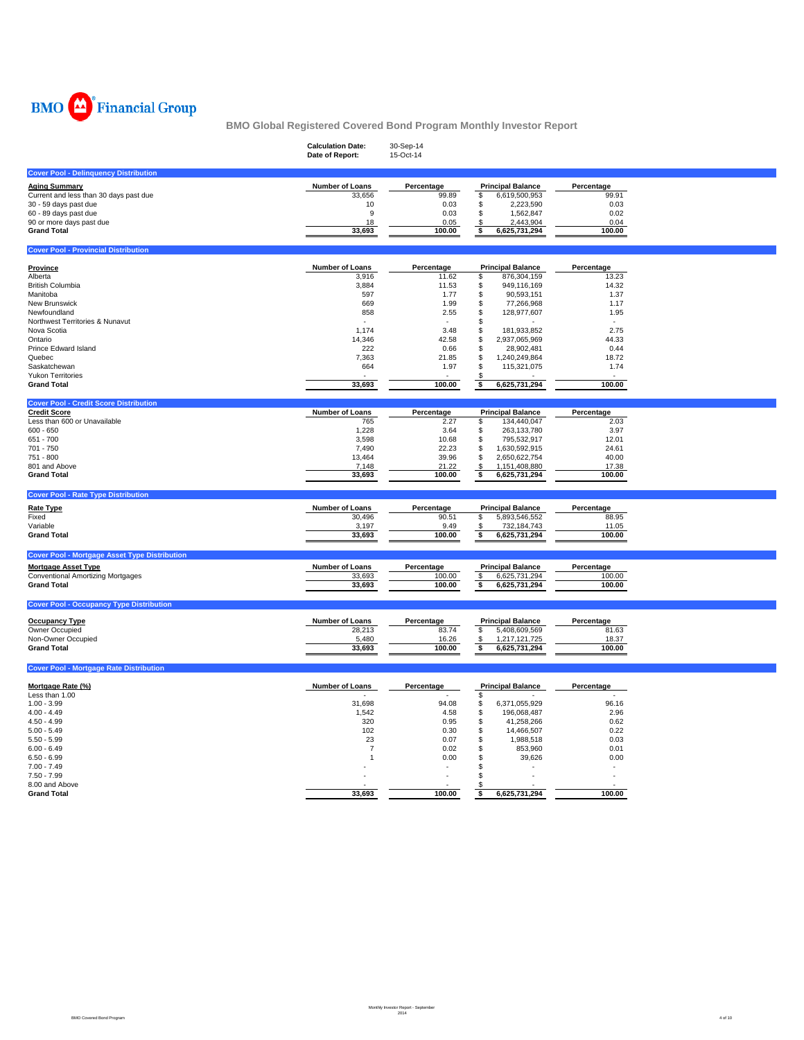

|                                                                                                                                              | <b>Calculation Date:</b><br>Date of Report: | 30-Sep-14<br>15-Oct-14                      |                                                                                                          |                                             |  |
|----------------------------------------------------------------------------------------------------------------------------------------------|---------------------------------------------|---------------------------------------------|----------------------------------------------------------------------------------------------------------|---------------------------------------------|--|
| <b>Cover Pool - Delinquency Distribution</b>                                                                                                 |                                             |                                             |                                                                                                          |                                             |  |
| <b>Aging Summary</b><br>Current and less than 30 days past due<br>30 - 59 days past due<br>60 - 89 days past due<br>90 or more days past due | Number of Loans<br>33,656<br>10<br>9<br>18  | Percentage<br>99.89<br>0.03<br>0.03<br>0.05 | <b>Principal Balance</b><br>6,619,500,953<br>\$<br>\$<br>2,223,590<br>\$<br>1,562,847<br>2,443,904<br>\$ | Percentage<br>99.91<br>0.03<br>0.02<br>0.04 |  |
| <b>Grand Total</b>                                                                                                                           | 33,693                                      | 100.00                                      | \$<br>6,625,731,294                                                                                      | 100.00                                      |  |
| <b>Cover Pool - Provincial Distribution</b>                                                                                                  |                                             |                                             |                                                                                                          |                                             |  |
| Province<br>Alberta                                                                                                                          | Number of Loans                             | Percentage                                  | <b>Principal Balance</b>                                                                                 | Percentage<br>13.23                         |  |
| <b>British Columbia</b>                                                                                                                      | 3,916<br>3,884                              | 11.62<br>11.53                              | \$<br>876,304,159<br>949,116,169<br>\$                                                                   | 14.32                                       |  |
| Manitoba                                                                                                                                     | 597                                         | 1.77                                        | 90,593,151<br>\$                                                                                         | 1.37                                        |  |
| New Brunswick                                                                                                                                | 669                                         | 1.99                                        | 77,266,968<br>\$                                                                                         | 1.17                                        |  |
| Newfoundland<br>Northwest Territories & Nunavut                                                                                              | 858<br>$\sim$                               | 2.55<br>$\sim$                              | 128,977,607<br>S<br>\$                                                                                   | 1.95<br>$\sim$                              |  |
| Nova Scotia                                                                                                                                  | 1,174                                       | 3.48                                        | \$<br>181,933,852                                                                                        | 2.75                                        |  |
| Ontario                                                                                                                                      | 14,346                                      | 42.58                                       | S<br>2,937,065,969                                                                                       | 44.33                                       |  |
| Prince Edward Island                                                                                                                         | 222                                         | 0.66                                        | \$<br>28,902,481                                                                                         | 0.44                                        |  |
| Quebec<br>Saskatchewan                                                                                                                       | 7,363<br>664                                | 21.85                                       | \$<br>1,240,249,864<br>\$                                                                                | 18.72                                       |  |
| <b>Yukon Territories</b>                                                                                                                     |                                             | 1.97                                        | 115,321,075<br>- \$                                                                                      | 1.74                                        |  |
| <b>Grand Total</b>                                                                                                                           | 33,693                                      | 100.00                                      | 6,625,731,294<br>\$                                                                                      | 100.00                                      |  |
| <b>Cover Pool - Credit Score Distribution</b>                                                                                                |                                             |                                             |                                                                                                          |                                             |  |
| <b>Credit Score</b>                                                                                                                          | Number of Loans                             | Percentage                                  | <b>Principal Balance</b>                                                                                 | Percentage                                  |  |
| Less than 600 or Unavailable                                                                                                                 | 765                                         | 2.27                                        | 134,440,047<br>\$                                                                                        | 2.03                                        |  |
| $600 - 650$<br>651 - 700                                                                                                                     | 1,228<br>3,598                              | 3.64<br>10.68                               | 263,133,780<br>\$<br>795,532,917<br>\$                                                                   | 3.97<br>12.01                               |  |
| 701 - 750                                                                                                                                    | 7,490                                       | 22.23                                       | 1,630,592,915<br>\$                                                                                      | 24.61                                       |  |
| 751 - 800                                                                                                                                    | 13,464                                      | 39.96                                       | \$<br>2,650,622,754                                                                                      | 40.00                                       |  |
| 801 and Above                                                                                                                                | 7,148                                       | 21.22                                       | 1,151,408,880<br>\$                                                                                      | 17.38                                       |  |
| <b>Grand Total</b>                                                                                                                           | 33,693                                      | 100.00                                      | 6,625,731,294<br>ŝ                                                                                       | 100.00                                      |  |
| <b>Cover Pool - Rate Type Distribution</b>                                                                                                   |                                             |                                             |                                                                                                          |                                             |  |
| <b>Rate Type</b>                                                                                                                             | <b>Number of Loans</b>                      | Percentage                                  | <b>Principal Balance</b>                                                                                 | Percentage                                  |  |
| Fixed                                                                                                                                        | 30,496                                      | 90.51                                       | \$<br>5,893,546,552                                                                                      | 88.95                                       |  |
| Variable                                                                                                                                     | 3,197                                       | 9.49                                        | \$<br>732,184,743                                                                                        | 11.05                                       |  |
| <b>Grand Total</b>                                                                                                                           | 33,693                                      | 100.00                                      | 6,625,731,294<br>\$                                                                                      | 100.00                                      |  |
| <b>Cover Pool - Mortgage Asset Type Distribution</b>                                                                                         |                                             |                                             |                                                                                                          |                                             |  |
| <b>Mortgage Asset Type</b>                                                                                                                   | Number of Loans                             | Percentage                                  | <b>Principal Balance</b>                                                                                 | Percentage                                  |  |
| <b>Conventional Amortizing Mortgages</b><br><b>Grand Total</b>                                                                               | 33,693<br>33,693                            | 100.00<br>100.00                            | 6,625,731,294<br>\$<br>\$<br>6,625,731,294                                                               | 100.00<br>100.00                            |  |
|                                                                                                                                              |                                             |                                             |                                                                                                          |                                             |  |
| <b>Cover Pool - Occupancy Type Distribution</b>                                                                                              |                                             |                                             |                                                                                                          |                                             |  |
| <b>Occupancy Type</b>                                                                                                                        | Number of Loans                             | Percentage                                  | <b>Principal Balance</b>                                                                                 | Percentage                                  |  |
| Owner Occupied                                                                                                                               | 28,213                                      | 83.74                                       | \$<br>5,408,609,569                                                                                      | 81.63                                       |  |
| Non-Owner Occupied<br><b>Grand Total</b>                                                                                                     | 5,480                                       | 16.26<br>100.00                             | \$<br>1,217,121,725                                                                                      | 18.37<br>100.00                             |  |
|                                                                                                                                              | 33,693                                      |                                             | 6,625,731,294<br>\$                                                                                      |                                             |  |
| <b>Cover Pool - Mortgage Rate Distribution</b>                                                                                               |                                             |                                             |                                                                                                          |                                             |  |
| Mortgage Rate (%)                                                                                                                            | Number of Loans                             | Percentage                                  | <b>Principal Balance</b>                                                                                 | Percentage                                  |  |
| Less than 1.00                                                                                                                               |                                             |                                             | \$                                                                                                       |                                             |  |
| $1.00 - 3.99$                                                                                                                                | 31,698                                      | 94.08                                       | 6,371,055,929<br>\$                                                                                      | 96.16                                       |  |
| $4.00 - 4.49$                                                                                                                                | 1,542                                       | 4.58                                        | \$<br>196,068,487                                                                                        | 2.96                                        |  |
| $4.50 - 4.99$<br>$5.00 - 5.49$                                                                                                               | 320<br>102                                  | 0.95<br>0.30                                | S<br>41,258,266<br>S<br>14,466,507                                                                       | 0.62<br>0.22                                |  |
| $5.50 - 5.99$                                                                                                                                | 23                                          | 0.07                                        | 1,988,518<br>\$                                                                                          | 0.03                                        |  |
| $6.00 - 6.49$                                                                                                                                | 7                                           | 0.02                                        | 853,960<br>\$                                                                                            | 0.01                                        |  |
| $6.50 - 6.99$                                                                                                                                | 1                                           | 0.00                                        | 39,626<br>\$                                                                                             | 0.00                                        |  |
| $7.00 - 7.49$                                                                                                                                |                                             |                                             | \$.                                                                                                      |                                             |  |
| $7.50 - 7.99$                                                                                                                                |                                             |                                             | \$.                                                                                                      | ٠                                           |  |
| 8.00 and Above<br><b>Grand Total</b>                                                                                                         | 33,693                                      | 100.00                                      | 6,625,731,294<br>\$                                                                                      | 100.00                                      |  |
|                                                                                                                                              |                                             |                                             |                                                                                                          |                                             |  |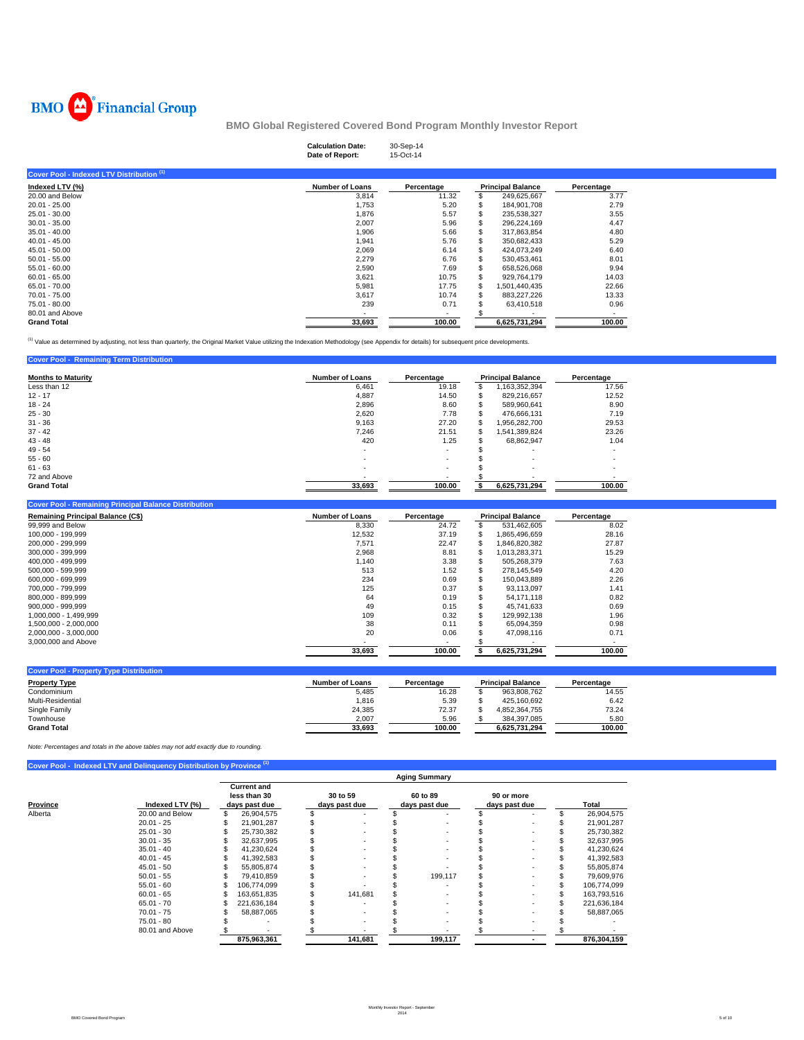

**Cover Pool - Remaining Term Distribution** 

**BMO Global Registered Covered Bond Program Monthly Investor Report**

|                                           | <b>Calculation Date:</b><br>Date of Report: | 30-Sep-14<br>15-Oct-14 |   |                          |            |
|-------------------------------------------|---------------------------------------------|------------------------|---|--------------------------|------------|
| Cover Pool - Indexed LTV Distribution (1) |                                             |                        |   |                          |            |
| Indexed LTV (%)                           | <b>Number of Loans</b>                      | Percentage             |   | <b>Principal Balance</b> | Percentage |
| 20.00 and Below                           | 3,814                                       | 11.32                  |   | 249,625,667              | 3.77       |
| $20.01 - 25.00$                           | 1,753                                       | 5.20                   |   | 184,901,708              | 2.79       |
| $25.01 - 30.00$                           | 1,876                                       | 5.57                   | S | 235,538,327              | 3.55       |
| $30.01 - 35.00$                           | 2,007                                       | 5.96                   |   | 296,224,169              | 4.47       |
| $35.01 - 40.00$                           | 1,906                                       | 5.66                   |   | 317,863,854              | 4.80       |
| $40.01 - 45.00$                           | 1,941                                       | 5.76                   |   | 350,682,433              | 5.29       |
| $45.01 - 50.00$                           | 2,069                                       | 6.14                   |   | 424,073,249              | 6.40       |
| $50.01 - 55.00$                           | 2,279                                       | 6.76                   |   | 530,453,461              | 8.01       |
| $55.01 - 60.00$                           | 2,590                                       | 7.69                   |   | 658,526,068              | 9.94       |
| $60.01 - 65.00$                           | 3,621                                       | 10.75                  |   | 929,764,179              | 14.03      |
| 65.01 - 70.00                             | 5,981                                       | 17.75                  |   | 1,501,440,435            | 22.66      |
| 70.01 - 75.00                             | 3,617                                       | 10.74                  |   | 883,227,226              | 13.33      |
| 75.01 - 80.00                             | 239                                         | 0.71                   |   | 63,410,518               | 0.96       |
| 80.01 and Above                           |                                             | $\sim$                 |   |                          | $\sim$     |
| <b>Grand Total</b>                        | 33,693                                      | 100.00                 |   | 6,625,731,294            | 100.00     |

<sup>(1)</sup> Value as determined by adjusting, not less than quarterly, the Original Market Value utilizing the Indexation Methodology (see Appendix for details) for subsequent price developments.

| <u><b>Primerie</b></u> Profited the Profits of the Company of the Company of the Company of the Company of the Company of the Company of the Company of the Company of the Company of the Company of the Company of the Company of the C |                        |                          |    |                          |            |  |  |
|------------------------------------------------------------------------------------------------------------------------------------------------------------------------------------------------------------------------------------------|------------------------|--------------------------|----|--------------------------|------------|--|--|
| <b>Months to Maturity</b>                                                                                                                                                                                                                | <b>Number of Loans</b> | Percentage               |    | <b>Principal Balance</b> | Percentage |  |  |
| Less than 12                                                                                                                                                                                                                             | 6.461                  | 19.18                    |    | 1,163,352,394            | 17.56      |  |  |
| $12 - 17$                                                                                                                                                                                                                                | 4,887                  | 14.50                    | ъ  | 829.216.657              | 12.52      |  |  |
| $18 - 24$                                                                                                                                                                                                                                | 2,896                  | 8.60                     | ъ  | 589,960,641              | 8.90       |  |  |
| $25 - 30$                                                                                                                                                                                                                                | 2.620                  | 7.78                     | æ. | 476.666.131              | 7.19       |  |  |
| $31 - 36$                                                                                                                                                                                                                                | 9,163                  | 27.20                    | ъ  | .956,282,700             | 29.53      |  |  |
| $37 - 42$                                                                                                                                                                                                                                | 7,246                  | 21.51                    | S  | 541,389,824              | 23.26      |  |  |
| $43 - 48$                                                                                                                                                                                                                                | 420                    | 1.25                     |    | 68,862,947               | 1.04       |  |  |
| $49 - 54$                                                                                                                                                                                                                                |                        | ۰                        |    |                          |            |  |  |
| $55 - 60$                                                                                                                                                                                                                                |                        | $\overline{\phantom{a}}$ |    | $\overline{\phantom{a}}$ |            |  |  |
| $61 - 63$                                                                                                                                                                                                                                | ۰                      | ۰.                       |    | $\overline{\phantom{a}}$ |            |  |  |
| 72 and Above                                                                                                                                                                                                                             |                        | $\overline{\phantom{a}}$ |    |                          |            |  |  |
| <b>Grand Total</b>                                                                                                                                                                                                                       | 33.693                 | 100.00                   |    | 6.625.731.294            | 100.00     |  |  |

| <b>Cover Pool - Remaining Principal Balance Distribution</b> |                        |                          |    |                          |            |
|--------------------------------------------------------------|------------------------|--------------------------|----|--------------------------|------------|
| <b>Remaining Principal Balance (C\$)</b>                     | <b>Number of Loans</b> | Percentage               |    | <b>Principal Balance</b> | Percentage |
| 99,999 and Below                                             | 8.330                  | 24.72                    | S  | 531.462.605              | 8.02       |
| 100.000 - 199.999                                            | 12,532                 | 37.19                    | S  | 1.865.496.659            | 28.16      |
| 200.000 - 299.999                                            | 7.571                  | 22.47                    | \$ | 1.846.820.382            | 27.87      |
| 300.000 - 399.999                                            | 2.968                  | 8.81                     | S  | 1.013.283.371            | 15.29      |
| 400.000 - 499.999                                            | 1.140                  | 3.38                     |    | 505.268.379              | 7.63       |
| 500.000 - 599.999                                            | 513                    | 1.52                     | S  | 278.145.549              | 4.20       |
| 600.000 - 699.999                                            | 234                    | 0.69                     | \$ | 150.043.889              | 2.26       |
| 700.000 - 799.999                                            | 125                    | 0.37                     |    | 93.113.097               | 1.41       |
| 800.000 - 899.999                                            | 64                     | 0.19                     |    | 54.171.118               | 0.82       |
| $900.000 - 999.999$                                          | 49                     | 0.15                     |    | 45.741.633               | 0.69       |
| 1.000.000 - 1.499.999                                        | 109                    | 0.32                     | S  | 129.992.138              | 1.96       |
| 1.500.000 - 2.000.000                                        | 38                     | 0.11                     |    | 65.094.359               | 0.98       |
| 2.000.000 - 3.000.000                                        | 20                     | 0.06                     |    | 47.098.116               | 0.71       |
| 3,000,000 and Above                                          |                        | $\overline{\phantom{a}}$ |    |                          |            |
|                                                              | 33.693                 | 100.00                   |    | 6.625.731.294            | 100.00     |

| <b>Cover Pool - Property Type Distribution</b> |                 |            |                          |            |
|------------------------------------------------|-----------------|------------|--------------------------|------------|
| <b>Property Type</b>                           | Number of Loans | Percentage | <b>Principal Balance</b> | Percentage |
| Condominium                                    | 5,485           | 16.28      | 963.808.762              | 14.55      |
| Multi-Residential                              | 1.816           | 5.39       | 425.160.692              | 6.42       |
| Single Family                                  | 24,385          | 72.37      | 4.852.364.755            | 73.24      |
| Townhouse                                      | 2,007           | 5.96       | 384.397.085              | 5.80       |
| <b>Grand Total</b>                             | 33,693          | 100.00     | 6.625.731.294            | 100.00     |

*Note: Percentages and totals in the above tables may not add exactly due to rounding.*

|          | Cover Pool - Indexed LTV and Delinquency Distribution by Province (1) | <b>Aging Summary</b>                                |             |                           |         |                           |         |                             |  |  |             |  |
|----------|-----------------------------------------------------------------------|-----------------------------------------------------|-------------|---------------------------|---------|---------------------------|---------|-----------------------------|--|--|-------------|--|
| Province | Indexed LTV (%)                                                       | <b>Current and</b><br>less than 30<br>days past due |             | 30 to 59<br>days past due |         | 60 to 89<br>days past due |         | 90 or more<br>days past due |  |  | Total       |  |
| Alberta  | 20.00 and Below                                                       | \$.                                                 | 26,904,575  |                           |         |                           |         |                             |  |  | 26,904,575  |  |
|          | $20.01 - 25$                                                          |                                                     | 21,901,287  |                           |         |                           |         |                             |  |  | 21,901,287  |  |
|          | $25.01 - 30$                                                          |                                                     | 25.730.382  |                           |         |                           |         |                             |  |  | 25,730,382  |  |
|          | $30.01 - 35$                                                          |                                                     | 32,637,995  |                           |         |                           |         |                             |  |  | 32,637,995  |  |
|          | $35.01 - 40$                                                          |                                                     | 41,230,624  |                           |         |                           |         |                             |  |  | 41,230,624  |  |
|          | $40.01 - 45$                                                          |                                                     | 41,392,583  |                           |         |                           |         |                             |  |  | 41,392,583  |  |
|          | $45.01 - 50$                                                          |                                                     | 55,805,874  |                           |         |                           |         |                             |  |  | 55,805,874  |  |
|          | $50.01 - 55$                                                          |                                                     | 79.410.859  |                           |         |                           | 199.117 |                             |  |  | 79,609,976  |  |
|          | $55.01 - 60$                                                          |                                                     | 106,774,099 |                           |         |                           |         |                             |  |  | 106,774,099 |  |
|          | $60.01 - 65$                                                          |                                                     | 163.651.835 |                           | 141.681 |                           |         |                             |  |  | 163,793,516 |  |
|          | $65.01 - 70$                                                          |                                                     | 221,636,184 |                           |         |                           |         |                             |  |  | 221,636,184 |  |
|          | $70.01 - 75$                                                          |                                                     | 58,887,065  |                           |         |                           |         |                             |  |  | 58,887,065  |  |
|          | $75.01 - 80$                                                          |                                                     |             |                           |         |                           |         |                             |  |  |             |  |
|          | 80.01 and Above                                                       |                                                     |             |                           |         |                           |         |                             |  |  |             |  |
|          |                                                                       |                                                     | 875,963,361 |                           | 141,681 |                           | 199,117 |                             |  |  | 876,304,159 |  |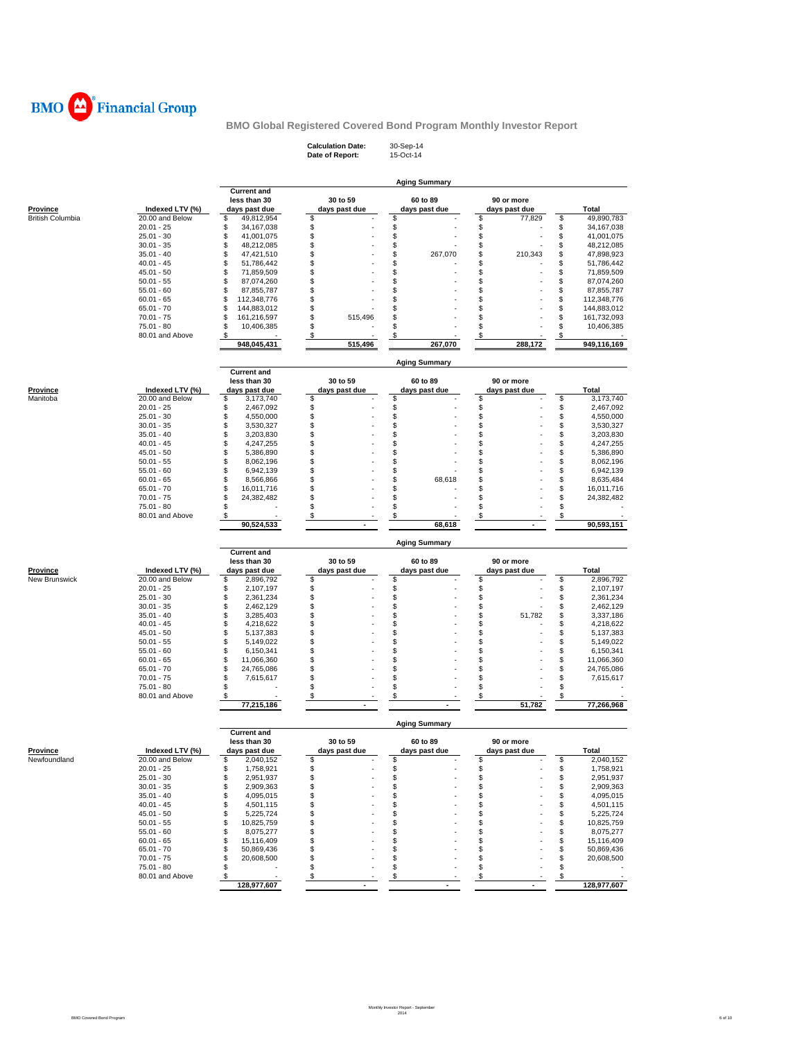

**Calculation Date:** 30-Sep-14 **Date of Report:** 15-Oct-14

|                  |                                 | <b>Aging Summary</b>                   |                           |                      |                    |                                      |  |  |  |  |  |
|------------------|---------------------------------|----------------------------------------|---------------------------|----------------------|--------------------|--------------------------------------|--|--|--|--|--|
|                  |                                 | <b>Current and</b>                     |                           |                      |                    |                                      |  |  |  |  |  |
|                  |                                 | less than 30                           | 30 to 59                  | 60 to 89             | 90 or more         |                                      |  |  |  |  |  |
| <b>Province</b>  | Indexed LTV (%)                 | days past due                          | days past due             | days past due        | days past due      | Total                                |  |  |  |  |  |
| British Columbia | 20.00 and Below<br>$20.01 - 25$ | \$<br>49,812,954<br>\$<br>34, 167, 038 | \$<br>\$                  | \$<br>\$             | \$<br>77,829<br>\$ | \$<br>49,890,783<br>\$<br>34,167,038 |  |  |  |  |  |
|                  | $25.01 - 30$                    | \$<br>41,001,075                       | \$                        | \$                   | \$                 | \$<br>41,001,075                     |  |  |  |  |  |
|                  | $30.01 - 35$                    | \$<br>48,212,085                       | \$                        | \$                   | \$                 | \$<br>48,212,085                     |  |  |  |  |  |
|                  | $35.01 - 40$                    | \$<br>47,421,510                       | \$                        | \$<br>267,070        | \$<br>210,343      | \$<br>47,898,923                     |  |  |  |  |  |
|                  | $40.01 - 45$                    | \$<br>51,786,442                       | \$                        | \$                   | \$                 | \$<br>51,786,442                     |  |  |  |  |  |
|                  | $45.01 - 50$                    | \$<br>71,859,509                       | \$                        | \$                   | \$                 | \$<br>71,859,509                     |  |  |  |  |  |
|                  | $50.01 - 55$                    | \$<br>87,074,260                       | \$                        | \$                   | \$                 | \$<br>87,074,260                     |  |  |  |  |  |
|                  | $55.01 - 60$                    | \$<br>87,855,787                       | \$                        | \$                   | \$                 | \$<br>87,855,787                     |  |  |  |  |  |
|                  | $60.01 - 65$                    | \$<br>112,348,776                      | \$                        | \$                   | \$                 | \$<br>112,348,776                    |  |  |  |  |  |
|                  | $65.01 - 70$                    | \$<br>144,883,012                      | \$                        | \$                   | \$                 | \$<br>144,883,012                    |  |  |  |  |  |
|                  | $70.01 - 75$                    | \$<br>161,216,597                      | S<br>515,496              | \$                   | \$                 | \$<br>161,732,093                    |  |  |  |  |  |
|                  | 75.01 - 80                      | \$<br>10,406,385                       | \$                        | \$                   | \$                 | \$<br>10,406,385                     |  |  |  |  |  |
|                  | 80.01 and Above                 | \$                                     | \$                        | \$                   | \$                 | \$                                   |  |  |  |  |  |
|                  |                                 | 948,045,431                            | 515,496                   | 267,070              | 288.172            | 949,116,169                          |  |  |  |  |  |
|                  |                                 |                                        |                           |                      |                    |                                      |  |  |  |  |  |
|                  |                                 |                                        |                           | <b>Aging Summary</b> |                    |                                      |  |  |  |  |  |
|                  |                                 | <b>Current and</b><br>less than 30     | 30 to 59                  | 60 to 89             | 90 or more         |                                      |  |  |  |  |  |
| <b>Province</b>  | Indexed LTV (%)                 | days past due                          | days past due             | days past due        | days past due      | Total                                |  |  |  |  |  |
| Manitoba         | 20.00 and Below                 | \$<br>3,173,740                        | \$                        | \$                   | \$                 | \$<br>3,173,740                      |  |  |  |  |  |
|                  | $20.01 - 25$                    | \$<br>2,467,092                        | \$                        | \$                   | \$                 | \$<br>2,467,092                      |  |  |  |  |  |
|                  | $25.01 - 30$                    | \$                                     | \$                        | \$                   | \$                 | \$                                   |  |  |  |  |  |
|                  | $30.01 - 35$                    | 4,550,000<br>\$                        | \$                        | \$                   | \$                 | 4,550,000<br>\$                      |  |  |  |  |  |
|                  |                                 | 3,530,327<br>\$<br>3,203,830           | \$                        | \$                   | \$                 | 3,530,327<br>\$<br>3,203,830         |  |  |  |  |  |
|                  | $35.01 - 40$                    |                                        | \$                        | \$                   | \$                 |                                      |  |  |  |  |  |
|                  | $40.01 - 45$                    | \$<br>4,247,255<br>\$                  | \$                        | \$                   | \$                 | \$<br>4,247,255<br>\$<br>5,386,890   |  |  |  |  |  |
|                  | $45.01 - 50$                    | 5,386,890                              | \$                        |                      |                    |                                      |  |  |  |  |  |
|                  | $50.01 - 55$                    | \$<br>8,062,196                        | \$                        | \$                   | \$                 | \$<br>8,062,196                      |  |  |  |  |  |
|                  | $55.01 - 60$                    | \$<br>6,942,139                        | \$                        | \$                   | \$                 | \$<br>6,942,139                      |  |  |  |  |  |
|                  | $60.01 - 65$                    | \$<br>8,566,866                        | \$                        | \$<br>68,618         | \$                 | \$<br>8,635,484                      |  |  |  |  |  |
|                  | $65.01 - 70$                    | \$<br>16,011,716                       |                           | \$                   | \$                 | \$<br>16,011,716                     |  |  |  |  |  |
|                  | $70.01 - 75$                    | \$<br>24,382,482                       | \$<br>\$                  | \$                   | \$                 | \$<br>24,382,482                     |  |  |  |  |  |
|                  | 75.01 - 80<br>80.01 and Above   | \$                                     |                           | \$                   | \$                 | \$                                   |  |  |  |  |  |
|                  |                                 | \$<br>90,524,533                       | \$                        | \$<br>68,618         | \$                 | \$<br>90,593,151                     |  |  |  |  |  |
|                  |                                 |                                        |                           |                      |                    |                                      |  |  |  |  |  |
|                  |                                 |                                        |                           |                      |                    |                                      |  |  |  |  |  |
|                  |                                 |                                        |                           |                      |                    |                                      |  |  |  |  |  |
|                  |                                 | <b>Current and</b>                     |                           | <b>Aging Summary</b> |                    |                                      |  |  |  |  |  |
|                  |                                 | less than 30                           | 30 to 59                  | 60 to 89             | 90 or more         |                                      |  |  |  |  |  |
| Province         | Indexed LTV (%)                 | days past due                          | days past due             | days past due        | days past due      | <b>Total</b>                         |  |  |  |  |  |
| New Brunswick    | 20.00 and Below                 | \$<br>2,896,792                        | \$                        | \$                   | \$                 | \$<br>2,896,792                      |  |  |  |  |  |
|                  | $20.01 - 25$                    | \$<br>2,107,197                        | \$                        | \$                   | \$                 | \$<br>2,107,197                      |  |  |  |  |  |
|                  | $25.01 - 30$                    | \$<br>2,361,234                        | \$                        | \$                   | \$                 | \$<br>2,361,234                      |  |  |  |  |  |
|                  | $30.01 - 35$                    | \$<br>2,462,129                        | \$                        | \$                   | \$                 | \$<br>2,462,129                      |  |  |  |  |  |
|                  | $35.01 - 40$                    | \$<br>3,285,403                        | \$                        | \$                   | \$<br>51,782       | \$<br>3,337,186                      |  |  |  |  |  |
|                  | $40.01 - 45$                    | \$<br>4,218,622                        | \$                        | \$                   | \$                 | \$<br>4,218,622                      |  |  |  |  |  |
|                  | $45.01 - 50$                    | \$<br>5,137,383                        | \$                        | \$                   | \$                 | \$<br>5,137,383                      |  |  |  |  |  |
|                  | $50.01 - 55$                    | \$<br>5,149,022                        | \$                        | \$                   | \$                 | \$<br>5,149,022                      |  |  |  |  |  |
|                  | $55.01 - 60$                    | \$<br>6,150,341                        | \$                        | \$                   | \$                 | \$<br>6,150,341                      |  |  |  |  |  |
|                  | $60.01 - 65$                    | \$<br>11,066,360                       | \$                        | \$                   | \$                 | \$<br>11,066,360                     |  |  |  |  |  |
|                  | $65.01 - 70$                    | \$<br>24,765,086                       | \$                        | \$                   | \$                 | \$<br>24,765,086                     |  |  |  |  |  |
|                  | $70.01 - 75$                    | \$<br>7,615,617                        | \$                        | \$                   | \$                 | \$<br>7,615,617                      |  |  |  |  |  |
|                  | 75.01 - 80                      | \$                                     | \$                        | \$                   | \$                 | \$                                   |  |  |  |  |  |
|                  | 80.01 and Above                 | \$                                     | \$                        | \$                   | \$                 | \$                                   |  |  |  |  |  |
|                  |                                 | 77,215,186                             |                           |                      | 51,782             | 77,266,968                           |  |  |  |  |  |
|                  |                                 |                                        |                           |                      |                    |                                      |  |  |  |  |  |
|                  |                                 | <b>Current and</b>                     |                           | <b>Aging Summary</b> |                    |                                      |  |  |  |  |  |
|                  |                                 | less than 30                           | 30 to 59                  | 60 to 89             | 90 or more         |                                      |  |  |  |  |  |
| <b>Province</b>  | Indexed LTV (%)                 | days past due                          | days past due             | days past due        | days past due      | Total                                |  |  |  |  |  |
| Newfoundland     | 20.00 and Below                 | 2,040,152<br>S                         | \$                        | \$                   | \$                 | \$<br>2,040,152                      |  |  |  |  |  |
|                  | $20.01 - 25$                    | \$<br>1,758,921                        | \$                        | \$                   | \$                 | \$<br>1,758,921                      |  |  |  |  |  |
|                  | $25.01 - 30$                    | \$<br>2,951,937                        | \$                        | \$                   | \$                 | \$<br>2,951,937                      |  |  |  |  |  |
|                  | $30.01 - 35$                    | \$<br>2,909,363                        | \$                        | \$                   | \$                 | 2,909,363<br>\$                      |  |  |  |  |  |
|                  | $35.01 - 40$                    | \$<br>4,095,015                        | \$                        | \$                   | \$                 | \$<br>4,095,015                      |  |  |  |  |  |
|                  | $40.01 - 45$                    | \$<br>4,501,115                        | \$                        | \$                   | \$                 | \$<br>4,501,115                      |  |  |  |  |  |
|                  | $45.01 - 50$                    | \$<br>5,225,724                        | \$                        | \$                   | \$                 | \$<br>5,225,724                      |  |  |  |  |  |
|                  | $50.01 - 55$                    | \$<br>10,825,759                       | S                         | \$                   | \$                 | 10,825,759<br>\$                     |  |  |  |  |  |
|                  | $55.01 - 60$                    | \$<br>8,075,277                        | \$                        | S                    | \$                 | \$<br>8,075,277                      |  |  |  |  |  |
|                  | $60.01 - 65$                    | \$<br>15,116,409                       | \$                        | \$                   | \$                 | \$<br>15,116,409                     |  |  |  |  |  |
|                  | 65.01 - 70                      | \$<br>50,869,436                       | \$                        | \$                   | \$                 | 50,869,436<br>\$                     |  |  |  |  |  |
|                  | $70.01 - 75$                    | \$<br>20,608,500                       | \$                        | \$                   | \$                 | \$<br>20,608,500                     |  |  |  |  |  |
|                  | 75.01 - 80                      | \$                                     | \$                        | \$                   | \$                 | \$                                   |  |  |  |  |  |
|                  | 80.01 and Above                 | \$<br>128,977,607                      | $\boldsymbol{\mathsf{s}}$ | $\sqrt[6]{3}$        | $\sqrt{3}$         | \$<br>128,977,607                    |  |  |  |  |  |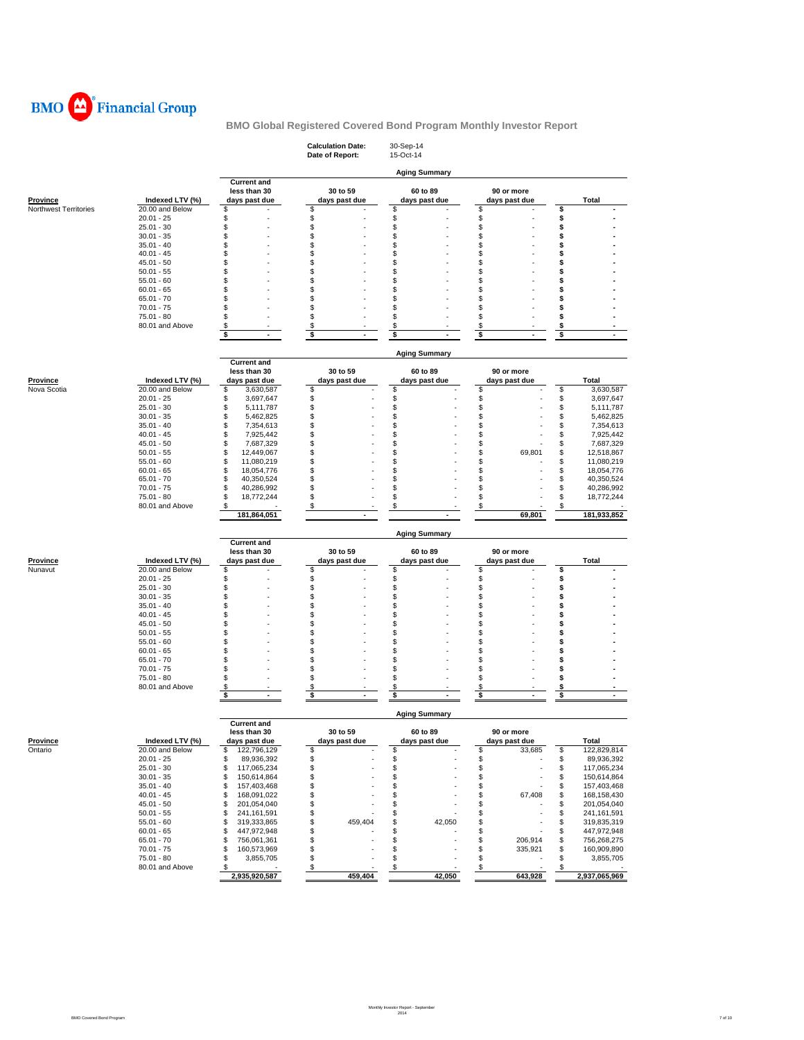

|                            |                                    |                                                     | <b>Calculation Date:</b><br>Date of Report: | 30-Sep-14<br>15-Oct-14          |                               |                                    |
|----------------------------|------------------------------------|-----------------------------------------------------|---------------------------------------------|---------------------------------|-------------------------------|------------------------------------|
|                            |                                    |                                                     |                                             | <b>Aging Summary</b>            |                               |                                    |
| <b>Province</b>            | Indexed LTV (%)                    | <b>Current and</b><br>less than 30<br>days past due | 30 to 59<br>days past due                   | 60 to 89<br>days past due       | 90 or more<br>days past due   | Total                              |
| Northwest Territories      | 20.00 and Below                    | S                                                   | \$                                          | \$                              | \$                            | \$                                 |
|                            | $20.01 - 25$<br>$25.01 - 30$       | \$<br>S                                             | \$<br>\$                                    | \$<br>\$                        | \$<br>\$                      | \$<br>\$                           |
|                            | $30.01 - 35$                       | \$                                                  | \$                                          | \$                              | \$                            | \$                                 |
|                            | $35.01 - 40$                       | \$                                                  | \$                                          | \$                              | \$                            | \$                                 |
|                            | $40.01 - 45$                       | \$                                                  | \$                                          | \$                              | \$                            | \$                                 |
|                            | $45.01 - 50$                       | \$                                                  | \$                                          | \$                              | \$                            | \$                                 |
|                            | $50.01 - 55$                       | S                                                   | \$                                          | \$                              | \$                            | \$                                 |
|                            | $55.01 - 60$<br>$60.01 - 65$       | \$<br>S                                             | \$<br>\$                                    | \$<br>\$                        | \$<br>\$                      | \$<br>\$                           |
|                            | $65.01 - 70$                       | \$                                                  | \$                                          | \$                              | \$                            | \$                                 |
|                            | $70.01 - 75$                       | \$                                                  | \$                                          | \$                              | \$                            | \$                                 |
|                            | 75.01 - 80                         | \$                                                  | \$                                          | \$                              | \$                            | S                                  |
|                            | 80.01 and Above                    | \$                                                  | \$                                          | \$                              | \$                            | \$                                 |
|                            |                                    | \$<br>$\blacksquare$                                | \$<br>$\blacksquare$                        | \$<br>$\sim$                    | \$<br>$\sim$                  | \$<br>$\sim$                       |
|                            |                                    |                                                     |                                             | <b>Aging Summary</b>            |                               |                                    |
|                            |                                    | <b>Current and</b><br>less than 30                  | 30 to 59                                    | 60 to 89                        | 90 or more                    |                                    |
| <b>Province</b>            | Indexed LTV (%)                    | days past due                                       | days past due                               | days past due                   | days past due                 | <b>Total</b>                       |
| Nova Scotia                | 20.00 and Below                    | \$<br>3,630,587                                     | \$                                          | \$                              | \$                            | \$<br>3,630,587                    |
|                            | $20.01 - 25$                       | \$<br>3,697,647                                     | \$                                          | \$                              | \$                            | \$<br>3,697,647                    |
|                            | $25.01 - 30$                       | \$<br>5,111,787                                     | \$                                          | \$                              | \$                            | \$<br>5,111,787                    |
|                            | $30.01 - 35$                       | \$<br>5,462,825                                     | \$                                          | \$                              | \$                            | \$<br>5,462,825                    |
|                            | $35.01 - 40$                       | \$<br>7,354,613                                     | \$                                          | \$                              | \$                            | \$<br>7,354,613                    |
|                            | $40.01 - 45$<br>$45.01 - 50$       | \$<br>7,925,442<br>\$<br>7,687,329                  | \$<br>\$                                    | \$<br>\$                        | \$<br>\$                      | \$<br>7,925,442<br>\$<br>7,687,329 |
|                            | $50.01 - 55$                       | \$<br>12,449,067                                    | \$                                          | \$                              | \$<br>69,801                  | \$<br>12,518,867                   |
|                            | $55.01 - 60$                       | \$<br>11,080,219                                    | \$                                          | \$                              | \$                            | \$<br>11,080,219                   |
|                            | $60.01 - 65$                       | \$<br>18,054,776                                    | \$                                          | \$                              | \$                            | \$<br>18,054,776                   |
|                            | $65.01 - 70$                       | \$<br>40,350,524                                    | \$                                          | \$                              | \$                            | \$<br>40,350,524                   |
|                            | $70.01 - 75$                       | \$<br>40,286,992                                    | \$                                          | \$                              | \$                            | \$<br>40,286,992                   |
|                            | $75.01 - 80$<br>80.01 and Above    | \$<br>18,772,244<br>\$                              | \$<br>\$                                    | \$<br>\$                        | \$<br>\$                      | \$<br>18,772,244<br>\$             |
|                            |                                    | 181,864,051                                         |                                             |                                 | 69,801                        | 181,933,852                        |
|                            |                                    |                                                     |                                             |                                 |                               |                                    |
|                            |                                    |                                                     |                                             | <b>Aging Summary</b>            |                               |                                    |
|                            |                                    |                                                     |                                             |                                 |                               |                                    |
|                            |                                    | <b>Current and</b><br>less than 30                  | 30 to 59                                    | 60 to 89                        | 90 or more                    |                                    |
| Province                   | Indexed LTV (%)                    | days past due                                       | days past due                               | days past due                   | days past due                 | Total                              |
| Nunavut                    | 20.00 and Below                    | \$                                                  | \$                                          | \$                              | \$                            | \$                                 |
|                            | $20.01 - 25$                       | \$                                                  | \$                                          | \$                              | \$                            | \$                                 |
|                            | $25.01 - 30$                       | \$                                                  | \$                                          | \$                              | \$                            | \$                                 |
|                            | $30.01 - 35$                       | \$                                                  | \$                                          | \$                              | S                             | \$                                 |
|                            | $35.01 - 40$                       | \$                                                  | \$                                          | \$                              | \$<br>\$                      | \$<br>\$                           |
|                            | $40.01 - 45$<br>$45.01 - 50$       | \$<br>\$                                            | \$<br>\$                                    | \$<br>\$                        | \$                            | \$                                 |
|                            | $50.01 - 55$                       | \$                                                  | \$                                          | \$                              | \$                            | \$                                 |
|                            | $55.01 - 60$                       | \$                                                  | \$                                          | \$                              | \$                            | \$                                 |
|                            | $60.01 - 65$                       | S                                                   | \$                                          | \$                              | \$                            | \$                                 |
|                            | $65.01 - 70$                       | S                                                   | \$                                          | \$                              | \$                            | \$                                 |
|                            | $70.01 - 75$                       | \$                                                  | \$                                          | \$                              | \$                            | \$                                 |
|                            | 75.01 - 80<br>80.01 and Above      | \$<br>\$                                            | \$<br>\$                                    | \$<br>\$                        | \$<br>\$                      | \$<br>\$                           |
|                            |                                    | \$                                                  | \$                                          | \$                              | \$                            | \$                                 |
|                            |                                    |                                                     |                                             | <b>Aging Summary</b>            |                               |                                    |
|                            |                                    | <b>Current and</b>                                  |                                             |                                 |                               |                                    |
|                            |                                    | less than 30                                        | 30 to 59                                    | 60 to 89                        | 90 or more                    |                                    |
| <b>Province</b><br>Ontario | Indexed LTV (%)<br>20.00 and Below | days past due<br>\$<br>122,796,129                  | days past due<br>\$                         | days past due<br>\$             | days past due<br>\$<br>33,685 | Total<br>\$<br>122,829,814         |
|                            | $20.01 - 25$                       | \$<br>89,936,392                                    | \$                                          | \$                              | \$                            | \$<br>89,936,392                   |
|                            | $25.01 - 30$                       | \$<br>117,065,234                                   | \$                                          | \$                              | \$                            | \$<br>117,065,234                  |
|                            | $30.01 - 35$                       | 150,614,864<br>\$                                   | \$                                          | \$                              | \$                            | \$<br>150,614,864                  |
|                            | $35.01 - 40$                       | 157,403,468<br>\$                                   | \$                                          | \$                              | \$                            | \$<br>157,403,468                  |
|                            | $40.01 - 45$<br>$45.01 - 50$       | 168,091,022<br>\$<br>\$<br>201,054,040              | \$                                          | \$                              | \$<br>67,408<br>\$            | \$<br>168,158,430<br>201,054,040   |
|                            | $50.01 - 55$                       | 241, 161, 591<br>\$                                 | \$<br>\$                                    | \$<br>\$                        | \$                            | \$<br>\$<br>241,161,591            |
|                            | $55.01 - 60$                       | 319,333,865<br>\$                                   | \$<br>459,404                               | \$<br>42,050                    | \$                            | \$<br>319,835,319                  |
|                            | $60.01 - 65$                       | \$<br>447,972,948                                   | \$                                          | \$                              | \$                            | \$<br>447,972,948                  |
|                            | $65.01 - 70$                       | 756,061,361<br>\$                                   | \$                                          | \$                              | \$<br>206,914                 | \$<br>756,268,275                  |
|                            | $70.01 - 75$                       | \$<br>160,573,969                                   | \$                                          | \$                              | 335,921<br>\$                 | \$<br>160,909,890                  |
|                            | 75.01 - 80<br>80.01 and Above      | \$<br>3,855,705<br>\$                               | \$<br>$\sqrt{3}$                            | \$<br>$\boldsymbol{\mathsf{s}}$ | \$<br><u>\$</u>               | \$<br>3,855,705<br>$\sqrt[6]{3}$   |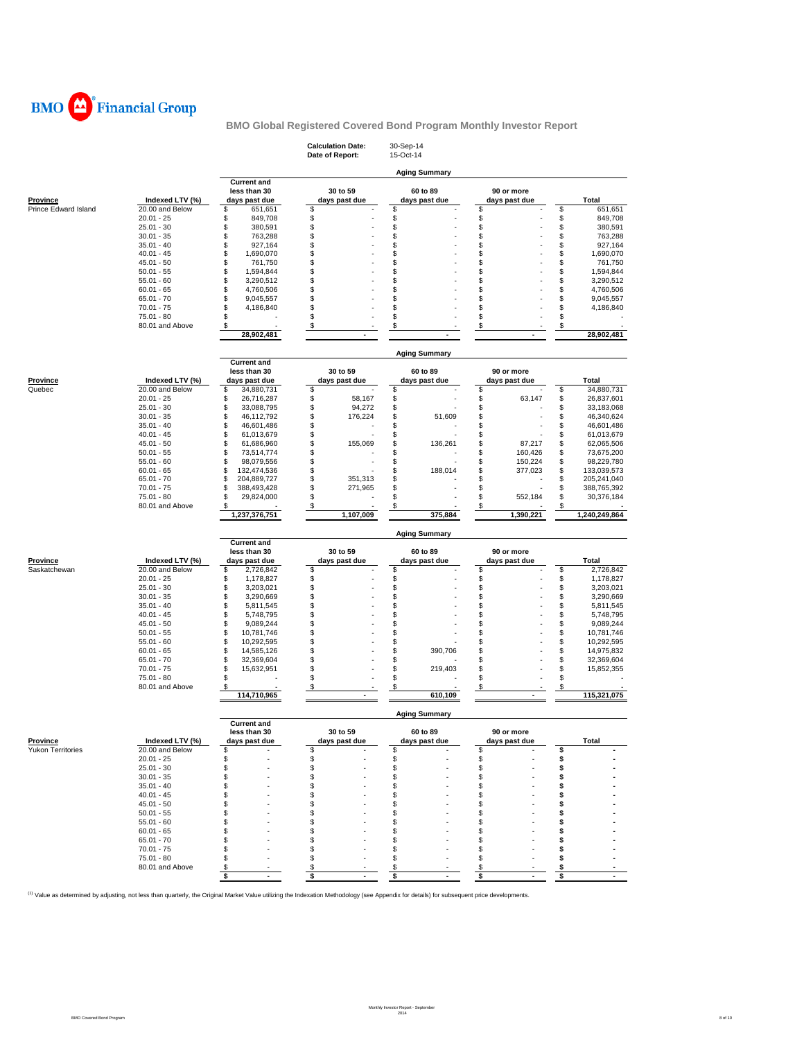

|                      |                                    |                                                     | <b>Calculation Date:</b><br>Date of Report: | 30-Sep-14<br>15-Oct-14    |                             |          |                            |
|----------------------|------------------------------------|-----------------------------------------------------|---------------------------------------------|---------------------------|-----------------------------|----------|----------------------------|
|                      |                                    |                                                     |                                             | <b>Aging Summary</b>      |                             |          |                            |
| Province             | Indexed LTV (%)                    | <b>Current and</b><br>less than 30<br>days past due | 30 to 59<br>days past due                   | 60 to 89<br>days past due | 90 or more<br>days past due |          | Total                      |
| Prince Edward Island | 20.00 and Below                    | \$<br>651,651                                       | \$                                          | \$                        | \$                          | \$       | 651,651                    |
|                      | $20.01 - 25$<br>$25.01 - 30$       | \$<br>849,708                                       | \$<br>\$                                    | \$<br>\$                  | \$                          | \$       | 849,708                    |
|                      | $30.01 - 35$                       | \$<br>380,591<br>\$<br>763,288                      | \$                                          | \$                        | \$<br>\$                    | \$<br>\$ | 380,591<br>763,288         |
|                      | $35.01 - 40$                       | \$<br>927,164                                       | \$                                          | \$                        | \$                          | \$       | 927,164                    |
|                      | $40.01 - 45$                       | \$<br>1,690,070                                     | \$                                          | \$                        | \$                          | \$       | 1,690,070                  |
|                      | $45.01 - 50$                       | \$<br>761,750                                       | \$                                          | \$                        | \$                          | \$       | 761,750                    |
|                      | $50.01 - 55$                       | \$<br>1,594,844                                     | \$                                          | \$                        | \$                          | \$       | 1,594,844                  |
|                      | $55.01 - 60$                       | \$<br>3,290,512                                     | \$                                          | \$                        | Ŝ                           | \$       | 3,290,512                  |
|                      | $60.01 - 65$                       | \$<br>4,760,506                                     | \$                                          | \$                        | \$                          | \$       | 4,760,506                  |
|                      | $65.01 - 70$                       | \$<br>9,045,557                                     | \$                                          | \$                        | \$                          | \$       | 9,045,557                  |
|                      | $70.01 - 75$                       | \$<br>4,186,840                                     | \$                                          | \$                        | \$                          | \$       | 4,186,840                  |
|                      | 75.01 - 80<br>80.01 and Above      | \$                                                  | \$<br>\$                                    | \$<br>\$                  | \$<br>\$                    | \$<br>\$ |                            |
|                      |                                    | \$<br>28,902,481                                    |                                             |                           |                             |          | 28,902,481                 |
|                      |                                    |                                                     |                                             | <b>Aging Summary</b>      |                             |          |                            |
|                      |                                    | <b>Current and</b>                                  |                                             |                           |                             |          |                            |
|                      |                                    | less than 30                                        | 30 to 59                                    | 60 to 89                  | 90 or more                  |          |                            |
| Province             | Indexed LTV (%)<br>20.00 and Below | days past due<br>\$                                 | days past due                               | days past due             | days past due<br>\$         | \$       | Total<br>34,880,731        |
| Quebec               | $20.01 - 25$                       | 34,880,731<br>\$<br>26,716,287                      | \$<br>\$<br>58,167                          | \$<br>\$                  | \$<br>63,147                | \$       | 26,837,601                 |
|                      | $25.01 - 30$                       | \$<br>33,088,795                                    | \$<br>94,272                                | \$                        | \$                          | \$       | 33,183,068                 |
|                      | $30.01 - 35$                       | \$<br>46,112,792                                    | \$<br>176,224                               | \$<br>51,609              | \$                          | \$       | 46,340,624                 |
|                      | $35.01 - 40$                       | \$<br>46,601,486                                    | \$                                          | \$                        | \$                          | \$       | 46,601,486                 |
|                      | $40.01 - 45$                       | \$<br>61,013,679                                    | \$                                          | \$                        | \$                          | \$       | 61,013,679                 |
|                      | 45.01 - 50                         | \$<br>61,686,960                                    | \$<br>155,069                               | \$<br>136,261             | \$<br>87,217                | \$       | 62,065,506                 |
|                      | $50.01 - 55$                       | \$<br>73,514,774                                    | \$                                          | \$                        | \$<br>160,426               | \$       | 73,675,200                 |
|                      | $55.01 - 60$                       | \$<br>98,079,556                                    | \$                                          | \$                        | \$<br>150,224               | \$       | 98,229,780                 |
|                      | $60.01 - 65$                       | \$<br>132,474,536                                   | \$                                          | \$<br>188,014             | \$<br>377,023               | \$       | 133,039,573                |
|                      | $65.01 - 70$<br>$70.01 - 75$       | \$<br>204,889,727<br>\$<br>388,493,428              | \$<br>351,313<br>\$<br>271,965              | \$<br>\$                  | \$<br>\$                    | \$<br>\$ | 205,241,040<br>388,765,392 |
|                      | 75.01 - 80                         | \$<br>29,824,000                                    | \$                                          | \$                        | \$<br>552,184               | \$       | 30,376,184                 |
|                      | 80.01 and Above                    | \$                                                  | \$                                          | \$                        | \$                          | \$       |                            |
|                      |                                    | 1,237,376,751                                       | 1,107,009                                   | 375,884                   | 1,390,221                   |          | 1,240,249,864              |
|                      |                                    | <b>Current and</b>                                  |                                             | <b>Aging Summary</b>      |                             |          |                            |
|                      |                                    | less than 30                                        | 30 to 59                                    | 60 to 89                  | 90 or more                  |          |                            |
| Province             | Indexed LTV (%)                    | days past due                                       | days past due                               | days past due             | days past due               |          | Total                      |
| Saskatchewan         | 20.00 and Below<br>$20.01 - 25$    | \$<br>2,726,842<br>\$<br>1,178,827                  | \$                                          | \$<br>\$                  | \$<br>\$                    | \$       | 2,726,842<br>1,178,827     |
|                      |                                    |                                                     |                                             |                           |                             |          |                            |
|                      |                                    |                                                     | \$                                          |                           |                             | \$       |                            |
|                      | $25.01 - 30$                       | \$<br>3,203,021                                     | \$                                          | \$                        | \$                          | \$       | 3,203,021                  |
|                      | $30.01 - 35$<br>$35.01 - 40$       | \$<br>3,290,669<br>\$                               | \$<br>\$                                    | \$                        | \$<br>\$                    | \$       | 3,290,669                  |
|                      | $40.01 - 45$                       | 5,811,545<br>\$<br>5,748,795                        | \$                                          | \$<br>\$                  | \$                          | \$<br>\$ | 5,811,545<br>5,748,795     |
|                      | $45.01 - 50$                       | \$<br>9,089,244                                     | \$                                          | \$                        | \$                          | \$       | 9,089,244                  |
|                      | $50.01 - 55$                       | \$<br>10,781,746                                    | \$                                          | \$                        | \$                          | \$       | 10,781,746                 |
|                      | $55.01 - 60$                       | \$<br>10,292,595                                    | \$                                          | \$                        | \$                          | \$       | 10,292,595                 |
|                      | $60.01 - 65$                       | \$<br>14,585,126                                    | \$                                          | \$<br>390,706             | \$                          | \$       | 14,975,832                 |
|                      | $65.01 - 70$                       | \$<br>32,369,604                                    | \$                                          | \$                        | \$                          | \$       | 32,369,604                 |
|                      | $70.01 - 75$                       | \$<br>15,632,951                                    | \$                                          | \$<br>219,403             | \$                          | \$       | 15,852,355                 |
|                      | $75.01 - 80$<br>80.01 and Above    | \$<br>\$                                            | \$<br>\$                                    | \$<br>\$                  | \$<br>\$                    | \$<br>\$ |                            |
|                      |                                    | 114,710,965                                         |                                             | 610,109                   |                             |          | 115,321,075                |
|                      |                                    |                                                     |                                             | <b>Aging Summary</b>      |                             |          |                            |
|                      |                                    | <b>Current and</b><br>less than 30                  | 30 to 59                                    | 60 to 89                  | 90 or more                  |          |                            |
| <b>Province</b>      | Indexed LTV (%)                    | days past due                                       | days past due                               | days past due             | days past due               |          | Total                      |
| Yukon Territories    | 20.00 and Below                    | \$                                                  | \$                                          | \$                        | \$                          | 5        |                            |
|                      | $20.01 - 25$                       | \$                                                  | \$                                          | \$                        | \$                          | \$       |                            |
|                      | $25.01 - 30$                       | \$                                                  | \$                                          | \$                        | \$<br>\$                    | \$       |                            |
|                      | $30.01 - 35$<br>$35.01 - 40$       | \$<br>\$                                            | \$<br>\$                                    | \$<br>\$                  | S                           |          |                            |
|                      | $40.01 - 45$                       | \$                                                  | \$                                          | \$                        | S.                          |          |                            |
|                      | $45.01 - 50$                       | S                                                   | \$                                          | \$                        | S                           |          |                            |
|                      | $50.01 - 55$                       | S                                                   | \$                                          | \$                        | S                           |          |                            |
|                      | $55.01 - 60$                       | S                                                   | \$                                          | \$                        | S.                          |          |                            |
|                      | $60.01 - 65$                       | S.                                                  | \$                                          | S                         | S.                          |          |                            |
|                      | $65.01 - 70$                       |                                                     | \$                                          | \$                        | s                           |          |                            |
|                      | $70.01 - 75$                       | \$                                                  | \$                                          | \$                        | S<br>S.                     |          |                            |
|                      | 75.01 - 80<br>80.01 and Above      | \$<br>\$                                            | \$<br>\$                                    | \$<br>\$                  | \$                          | s        |                            |
|                      |                                    | \$<br>ä,                                            | \$                                          | \$<br>ä,                  | \$                          | \$       |                            |

<sup>(1)</sup> Value as determined by adjusting, not less than quarterly, the Original Market Value utilizing the Indexation Methodology (see Appendix for details) for subsequent price developments.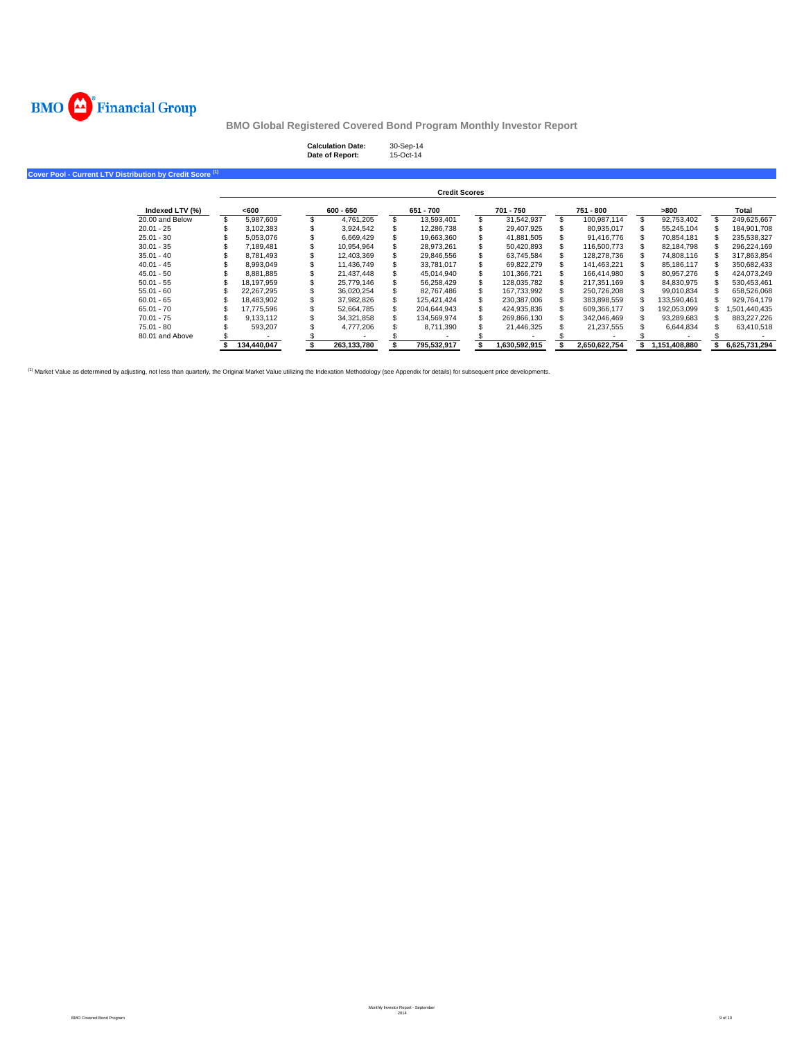

| <b>Calculation Date:</b> | 30-Sep-14 |
|--------------------------|-----------|
| Date of Report:          | 15-Oct-14 |

**Cover Pool - Current LTV Distribution by Credit Score (1)**

|                 |             |             | <b>Credit Scores</b> |               |    |               |               |               |
|-----------------|-------------|-------------|----------------------|---------------|----|---------------|---------------|---------------|
| Indexed LTV (%) | <600        | $600 - 650$ | 651 - 700            | 701 - 750     |    | 751 - 800     | >800          | Total         |
| 20.00 and Below | 5.987.609   | 4.761.205   | 13.593.401           | 31.542.937    | \$ | 100.987.114   | 92.753.402    | 249.625.667   |
| $20.01 - 25$    | 3.102.383   | 3.924.542   | 12.286.738           | 29,407,925    |    | 80.935.017    | 55.245.104    | 184.901.708   |
| $25.01 - 30$    | 5.053.076   | 6.669.429   | 19.663.360           | 41,881,505    |    | 91.416.776    | 70.854.181    | 235.538.327   |
| $30.01 - 35$    | 7.189.481   | 10.954.964  | 28.973.261           | 50.420.893    |    | 116,500,773   | 82.184.798    | 296,224,169   |
| $35.01 - 40$    | 8.781.493   | 12.403.369  | 29.846.556           | 63.745.584    |    | 128.278.736   | 74.808.116    | 317.863.854   |
| $40.01 - 45$    | 8.993.049   | 11.436.749  | 33.781.017           | 69.822.279    |    | 141.463.221   | 85.186.117    | 350.682.433   |
| $45.01 - 50$    | 8.881.885   | 21.437.448  | 45.014.940           | 101.366.721   |    | 166.414.980   | 80.957.276    | 424.073.249   |
| $50.01 - 55$    | 18.197.959  | 25.779.146  | 56.258.429           | 128.035.782   |    | 217.351.169   | 84.830.975    | 530.453.461   |
| $55.01 - 60$    | 22.267.295  | 36.020.254  | 82.767.486           | 167.733.992   |    | 250.726.208   | 99.010.834    | 658.526.068   |
| $60.01 - 65$    | 18.483.902  | 37.982.826  | 125.421.424          | 230.387.006   |    | 383.898.559   | 133.590.461   | 929.764.179   |
| $65.01 - 70$    | 17.775.596  | 52.664.785  | 204.644.943          | 424.935.836   | S  | 609.366.177   | 192,053,099   | ,501,440,435  |
| $70.01 - 75$    | 9.133.112   | 34.321.858  | 134.569.974          | 269.866.130   |    | 342.046.469   | 93.289.683    | 883.227.226   |
| 75.01 - 80      | 593.207     | 4.777.206   | 8.711.390            | 21,446,325    |    | 21.237.555    | 6.644.834     | 63.410.518    |
| 80.01 and Above |             |             |                      |               |    |               |               |               |
|                 | 134.440.047 | 263.133.780 | 795,532,917          | 1.630.592.915 |    | 2.650.622.754 | 1.151.408.880 | 6.625.731.294 |

<sup>(1)</sup> Market Value as determined by adjusting, not less than quarterly, the Original Market Value utilizing the Indexation Methodology (see Appendix for details) for subsequent price developments.